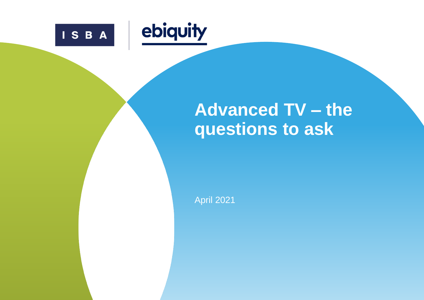



# **Advanced TV – the questions to ask**

April 2021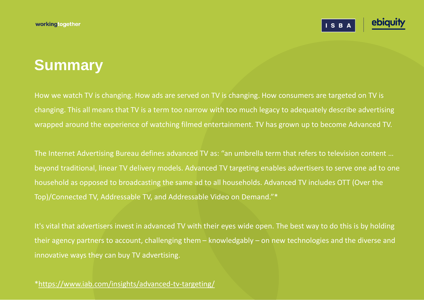ISBA

## **Summary**

How we watch TV is changing. How ads are served on TV is changing. How consumers are targeted on TV is changing. This all means that TV is a term too narrow with too much legacy to adequately describe advertising wrapped around the experience of watching filmed entertainment. TV has grown up to become Advanced TV.

The Internet Advertising Bureau defines advanced TV as: "an umbrella term that refers to television content … beyond traditional, linear TV delivery models. Advanced TV targeting enables advertisers to serve one ad to one household as opposed to broadcasting the same ad to all households. Advanced TV includes OTT (Over the Top)/Connected TV, Addressable TV, and Addressable Video on Demand."\*

It's vital that advertisers invest in advanced TV with their eyes wide open. The best way to do this is by holding their agency partners to account, challenging them – knowledgably – on new technologies and the diverse and innovative ways they can buy TV advertising.

[\\*https://www.iab.com/insights/advanced-tv-targeting/](https://www.iab.com/insights/advanced-tv-targeting/)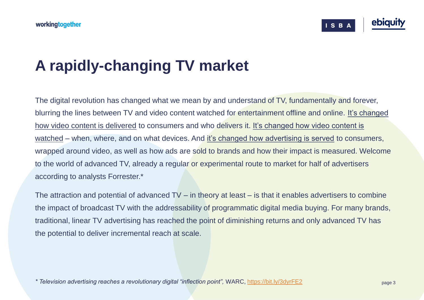

# **A rapidly-changing TV market**

The digital revolution has changed what we mean by and understand of TV, fundamentally and forever, blurring the lines between TV and video content watched for entertainment offline and online. It's changed how video content is delivered to consumers and who delivers it. It's changed how video content is watched – when, where, and on what devices. And it's changed how advertising is served to consumers, wrapped around video, as well as how ads are sold to brands and how their impact is measured. Welcome to the world of advanced TV, already a regular or experimental route to market for half of advertisers according to analysts Forrester.\*

The attraction and potential of advanced TV – in theory at least – is that it enables advertisers to combine the impact of broadcast TV with the addressability of programmatic digital media buying. For many brands, traditional, linear TV advertising has reached the point of diminishing returns and only advanced TV has the potential to deliver incremental reach at scale.

*\* Television advertising reaches a revolutionary digital "inflection point",* WARC,<https://bit.ly/3dyrFE2>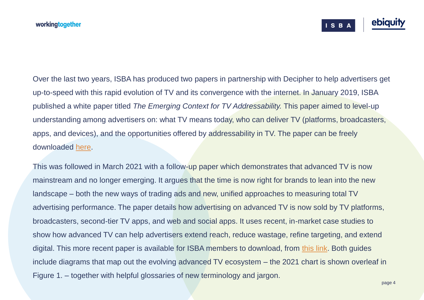

Over the last two years, ISBA has produced two papers in partnership with Decipher to help advertisers get up-to-speed with this rapid evolution of TV and its convergence with the internet. In January 2019, ISBA published a white paper titled *The Emerging Context for TV Addressability.* This paper aimed to level-up understanding among advertisers on: what TV means today, who can deliver TV (platforms, broadcasters, apps, and devices), and the opportunities offered by addressability in TV. The paper can be freely downloaded [here.](https://www.isba.org.uk/knowledge/advanced-tv-guide-part-one)

This was followed in March 2021 with a follow-up paper which demonstrates that advanced TV is now mainstream and no longer emerging. It argues that the time is now right for brands to lean into the new landscape – both the new ways of trading ads and new, unified approaches to measuring total TV advertising performance. The paper details how advertising on advanced TV is now sold by TV platforms, broadcasters, second-tier TV apps, and web and social apps. It uses recent, in-market case studies to show how advanced TV can help advertisers extend reach, reduce wastage, refine targeting, and extend digital. This more recent paper is available for ISBA members to download, from [this link](https://www.isba.org.uk/knowledge/advanced-tv-guide-part-two). Both guides include diagrams that map out the evolving advanced TV ecosystem – the 2021 chart is shown overleaf in Figure 1. – together with helpful glossaries of new terminology and jargon.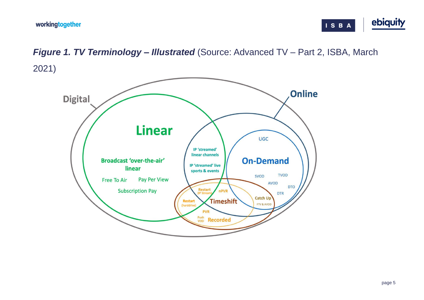



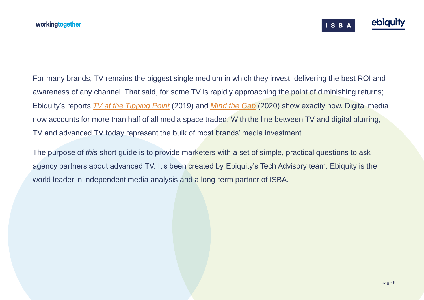

For many brands, TV remains the biggest single medium in which they invest, delivering the best ROI and awareness of any channel. That said, for some TV is rapidly approaching the point of diminishing returns; Ebiquity's reports *[TV at the Tipping Point](https://www.ebiquity.com/research/ebiquity-report-tv-at-the-tipping-point/)* (2019) and *[Mind the Gap](https://www.ebiquity.com/news-insights/research/mind-the-gap-lifting-the-veil-on-cross-media-measurement/)* (2020) show exactly how. Digital media now accounts for more than half of all media space traded. With the line between TV and digital blurring, TV and advanced TV today represent the bulk of most brands' media investment.

The purpose of *this* short guide is to provide marketers with a set of simple, practical questions to ask agency partners about advanced TV. It's been created by Ebiquity's Tech Advisory team. Ebiquity is the world leader in independent media analysis and a long-term partner of ISBA.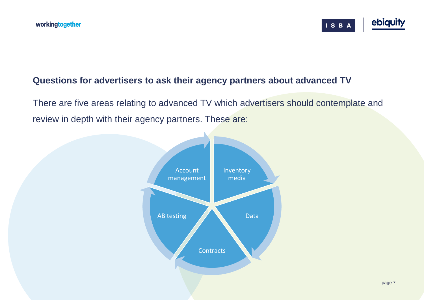

### **Questions for advertisers to ask their agency partners about advanced TV**

There are five areas relating to advanced TV which advertisers should contemplate and review in depth with their agency partners. These are:

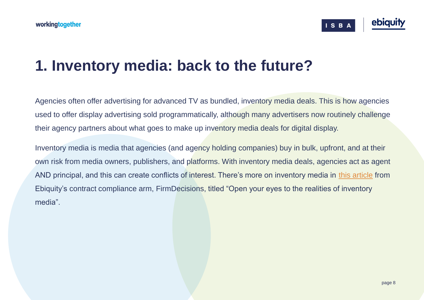

### **1. Inventory media: back to the future?**

Agencies often offer advertising for advanced TV as bundled, inventory media deals. This is how agencies used to offer display advertising sold programmatically, although many advertisers now routinely challenge their agency partners about what goes to make up inventory media deals for digital display.

Inventory media is media that agencies (and agency holding companies) buy in bulk, upfront, and at their own risk from media owners, publishers, and platforms. With inventory media deals, agencies act as agent AND principal, and this can create conflicts of interest. There's more on inventory media in [this article](http://www.firmdecisions.com/articles/blog/open-your-eyes-to-the-realities-of-inventory-media/) from Ebiquity's contract compliance arm, FirmDecisions, titled "Open your eyes to the realities of inventory media".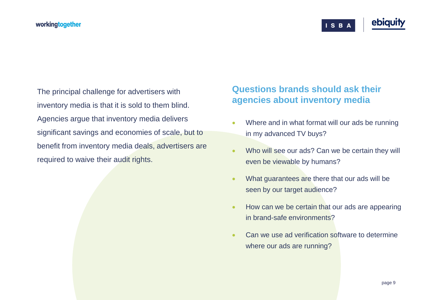ISBA

The principal challenge for advertisers with inventory media is that it is sold to them blind. Agencies argue that inventory media delivers significant savings and economies of scale, but to benefit from inventory media deals, advertisers are required to waive their audit rights.

### **Questions brands should ask their agencies about inventory media**

- Where and in what format will our ads be running in my advanced TV buys?
- Who will see our ads? Can we be certain they will even be viewable by humans?
- What guarantees are there that our ads will be seen by our target audience?
- How can we be certain that our ads are appearing in brand-safe environments?
- Can we use ad verification software to determine where our ads are running?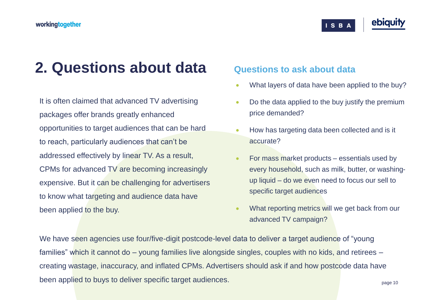#### workingtogether

### **2. Questions about data**

It is often claimed that advanced TV advertising packages offer brands greatly enhanced opportunities to target audiences that can be hard to reach, particularly audiences that can't be addressed effectively by linear TV. As a result, CPMs for advanced TV are becoming increasingly expensive. But it can be challenging for advertisers to know what targeting and audience data have been applied to the buy.

#### **Questions to ask about data**

• What layers of data have been applied to the buy?

ISBA

- Do the data applied to the buy justify the premium price demanded?
- How has targeting data been collected and is it accurate?
- For mass market products essentials used by every household, such as milk, butter, or washingup liquid – do we even need to focus our sell to specific target audiences
- What reporting metrics will we get back from our advanced TV campaign?

We have seen agencies use four/five-digit postcode-level data to deliver a target audience of "young" families" which it cannot do – young families live alongside singles, couples with no kids, and retirees – creating wastage, inaccuracy, and inflated CPMs. Advertisers should ask if and how postcode data have been applied to buys to deliver specific target audiences.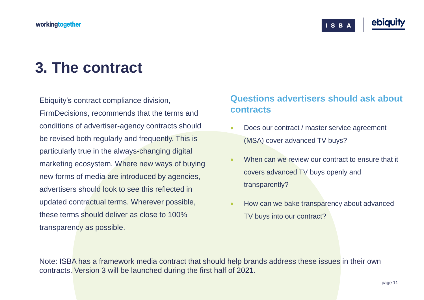#### workingtogether

ISBA

## **3. The contract**

Ebiquity's contract compliance division, FirmDecisions, recommends that the terms and conditions of advertiser-agency contracts should be revised both regularly and frequently. This is particularly true in the always-changing digital marketing ecosystem. Where new ways of buying new forms of media are introduced by agencies, advertisers should look to see this reflected in updated contractual terms. Wherever possible, these terms should deliver as close to 100% transparency as possible.

### **Questions advertisers should ask about contracts**

- Does our contract / master service agreement (MSA) cover advanced TV buys?
- When can we review our contract to ensure that it covers advanced TV buys openly and transparently?
- How can we bake transparency about advanced TV buys into our contract?

Note: ISBA has a framework media contract that should help brands address these issues in their own contracts. Version 3 will be launched during the first half of 2021.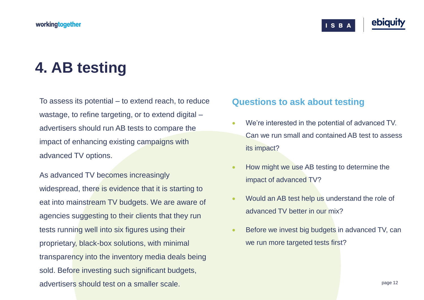## **4. AB testing**

To assess its potential – to extend reach, to reduce wastage, to refine targeting, or to extend digital – advertisers should run AB tests to compare the impact of enhancing existing campaigns with advanced TV options.

As advanced TV becomes increasingly widespread, there is evidence that it is starting to eat into mainstream TV budgets. We are aware of agencies suggesting to their clients that they run tests running well into six figures using their proprietary, black-box solutions, with minimal transparency into the inventory media deals being sold. Before investing such significant budgets, advertisers should test on a smaller scale.

#### **Questions to ask about testing**

We're interested in the potential of advanced TV. Can we run small and contained AB test to assess its impact?

ISBA

- How might we use AB testing to determine the impact of advanced TV?
- Would an AB test help us understand the role of advanced TV better in our mix?
- Before we invest big budgets in advanced TV, can we run more targeted tests first?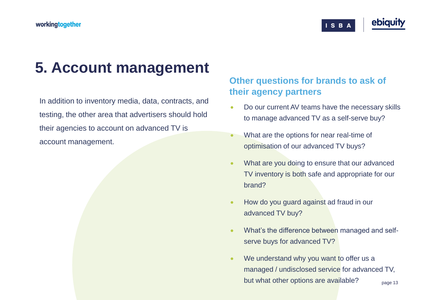#### workingtogether



## **5. Account management**

In addition to inventory media, data, contracts, and testing, the other area that advertisers should hold their agencies to account on advanced TV is account management.

### **Other questions for brands to ask of their agency partners**

- Do our current AV teams have the necessary skills to manage advanced TV as a self-serve buy?
- What are the options for near real-time of optimisation of our advanced TV buys?
- What are you doing to ensure that our advanced TV inventory is both safe and appropriate for our brand?
- How do you guard against ad fraud in our advanced TV buy?
- What's the difference between managed and selfserve buys for advanced TV?
- page 13 We understand why you want to offer us a managed / undisclosed service for advanced TV, but what other options are available?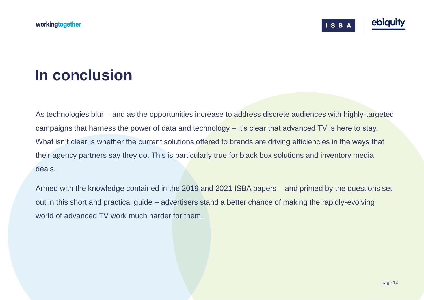**ISB/** 

### **In conclusion**

As technologies blur – and as the opportunities increase to address discrete audiences with highly-targeted campaigns that harness the power of data and technology – it's clear that advanced TV is here to stay. What isn't clear is whether the current solutions offered to brands are driving efficiencies in the ways that their agency partners say they do. This is particularly true for black box solutions and inventory media deals.

Armed with the knowledge contained in the 2019 and 2021 ISBA papers – and primed by the questions set out in this short and practical guide – advertisers stand a better chance of making the rapidly-evolving world of advanced TV work much harder for them.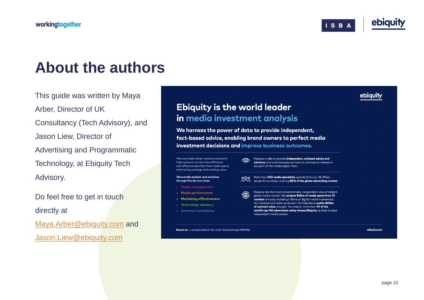

ebiquity

## **About the authors**

This guide was written by Maya Arber, Director of UK Consultancy (Tech Advisory), and Jason Liew, Director of Advertising and Programmatic Technology, at Ebiquity Tech Advisory.

Do feel free to get in touch directly at [Maya.Arber@ebiquity.com](mailto:Maya.Arber@ebiquity.com) and [Jason.Liew@ebiquity.com](mailto:Jason.Liew@ebiquity.com)

### **Ebiquity is the world leader** in media investment analysis

We harness the power of data to provide independent, fact-based advice, enabling brand owners to perfect media investment decisions and improve business outcomes.

 $\circledcirc$ 

We are a data-driven solutions company helping brand owners drive efficiency and effectiveness from their media spend, eliminating wastage and creating value.

We provide analysis and solutions through five Service Lines:

- > Media management
- > Media performance
- > Marketing effectiveness
- > Technology advisory
- > Contract compliance

Ebiquity is able to provide independent, unbiased advice and solutions to brands because we have no commercial interest in any part of the media supply chain.

000 More than 500 media specialists operate from our 18 offices<br>
2000 More than 500 media specialists operate from our 18 offices across 14 countries, covering 80% of the global advertising market.

Ebiquity has the most comprehensive, independent view of today's  $\bigoplus$ global media market. We analyse \$55bn of media spend from 75 markets annually, including trillions of digital media impressions. Our Contract Compliance division, FirmDecisions, audits \$40bn of contract value annually. As a result, more than 70 of the world's top 100 advertisers today choose Ebiquity as their trusted independent media advisor.

Ebiquity plc - a company listed on the London Stock Exchange (AIM:EBQ)

ebiquity.com